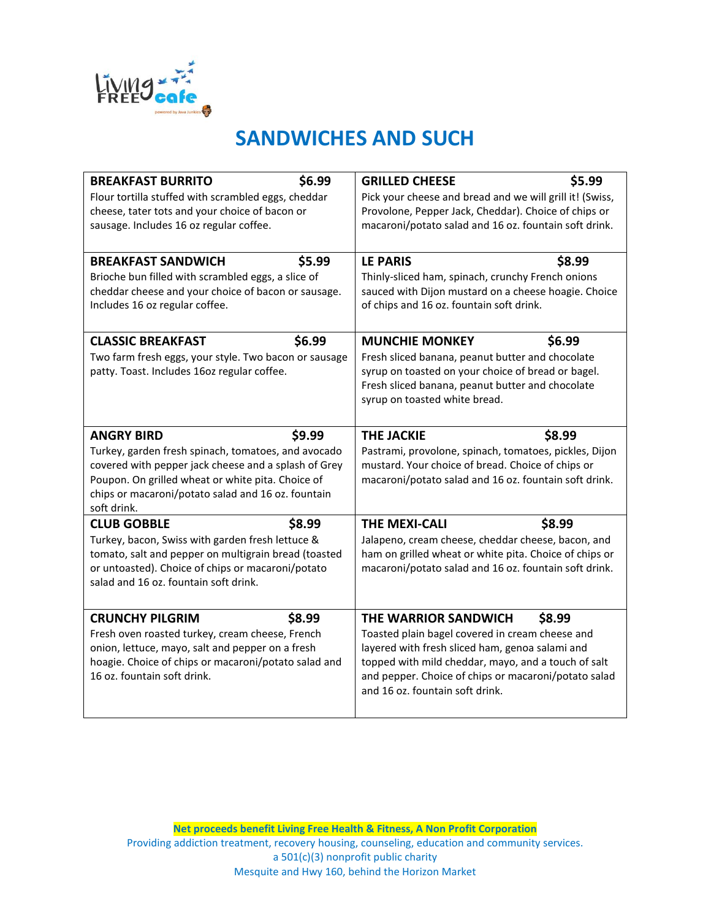

### **SANDWICHES AND SUCH**

| <b>BREAKFAST BURRITO</b><br>Flour tortilla stuffed with scrambled eggs, cheddar<br>cheese, tater tots and your choice of bacon or<br>sausage. Includes 16 oz regular coffee.                                                                                         | \$6.99 | <b>GRILLED CHEESE</b><br>Pick your cheese and bread and we will grill it! (Swiss,<br>Provolone, Pepper Jack, Cheddar). Choice of chips or<br>macaroni/potato salad and 16 oz. fountain soft drink.                                                                           | \$5.99 |
|----------------------------------------------------------------------------------------------------------------------------------------------------------------------------------------------------------------------------------------------------------------------|--------|------------------------------------------------------------------------------------------------------------------------------------------------------------------------------------------------------------------------------------------------------------------------------|--------|
| <b>BREAKFAST SANDWICH</b><br>\$5.99<br>Brioche bun filled with scrambled eggs, a slice of<br>cheddar cheese and your choice of bacon or sausage.<br>Includes 16 oz regular coffee.                                                                                   |        | \$8.99<br><b>LE PARIS</b><br>Thinly-sliced ham, spinach, crunchy French onions<br>sauced with Dijon mustard on a cheese hoagie. Choice<br>of chips and 16 oz. fountain soft drink.                                                                                           |        |
| \$6.99<br><b>CLASSIC BREAKFAST</b><br>Two farm fresh eggs, your style. Two bacon or sausage<br>patty. Toast. Includes 16oz regular coffee.                                                                                                                           |        | <b>MUNCHIE MONKEY</b><br>\$6.99<br>Fresh sliced banana, peanut butter and chocolate<br>syrup on toasted on your choice of bread or bagel.<br>Fresh sliced banana, peanut butter and chocolate<br>syrup on toasted white bread.                                               |        |
| <b>ANGRY BIRD</b><br>\$9.99<br>Turkey, garden fresh spinach, tomatoes, and avocado<br>covered with pepper jack cheese and a splash of Grey<br>Poupon. On grilled wheat or white pita. Choice of<br>chips or macaroni/potato salad and 16 oz. fountain<br>soft drink. |        | \$8.99<br><b>THE JACKIE</b><br>Pastrami, provolone, spinach, tomatoes, pickles, Dijon<br>mustard. Your choice of bread. Choice of chips or<br>macaroni/potato salad and 16 oz. fountain soft drink.                                                                          |        |
| <b>CLUB GOBBLE</b><br>Turkey, bacon, Swiss with garden fresh lettuce &<br>tomato, salt and pepper on multigrain bread (toasted<br>or untoasted). Choice of chips or macaroni/potato<br>salad and 16 oz. fountain soft drink.                                         | \$8.99 | <b>THE MEXI-CALI</b><br>Jalapeno, cream cheese, cheddar cheese, bacon, and<br>ham on grilled wheat or white pita. Choice of chips or<br>macaroni/potato salad and 16 oz. fountain soft drink.                                                                                | \$8.99 |
| <b>CRUNCHY PILGRIM</b><br>Fresh oven roasted turkey, cream cheese, French<br>onion, lettuce, mayo, salt and pepper on a fresh<br>hoagie. Choice of chips or macaroni/potato salad and<br>16 oz. fountain soft drink.                                                 | \$8.99 | THE WARRIOR SANDWICH<br>Toasted plain bagel covered in cream cheese and<br>layered with fresh sliced ham, genoa salami and<br>topped with mild cheddar, mayo, and a touch of salt<br>and pepper. Choice of chips or macaroni/potato salad<br>and 16 oz. fountain soft drink. | \$8.99 |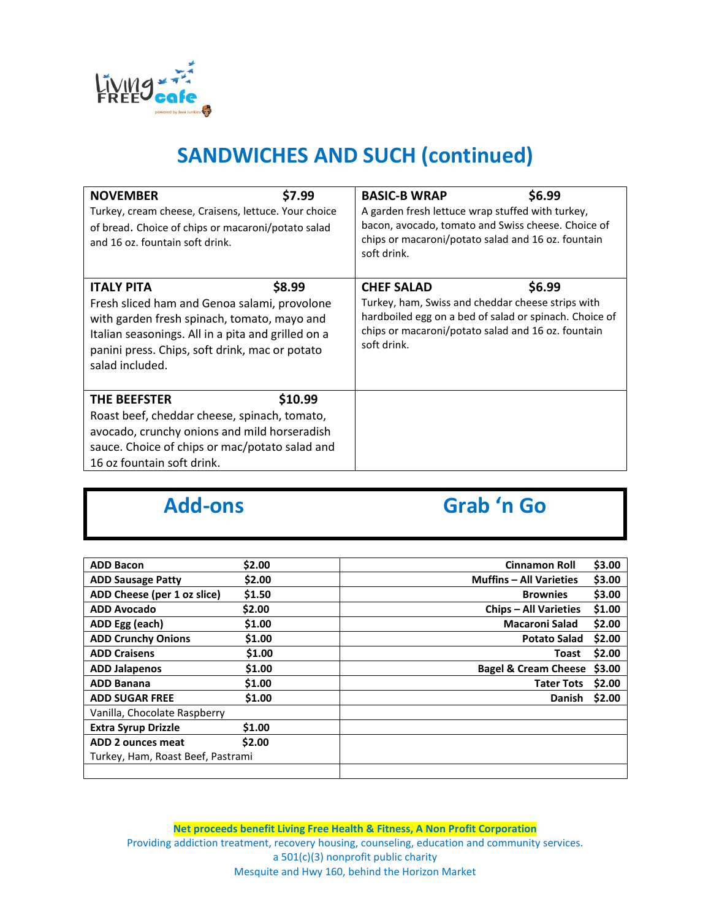

# **SANDWICHES AND SUCH (continued)**

| \$7.99<br><b>NOVEMBER</b><br>Turkey, cream cheese, Craisens, lettuce. Your choice<br>of bread. Choice of chips or macaroni/potato salad<br>and 16 oz. fountain soft drink.                                                                            |         | \$6.99<br><b>BASIC-B WRAP</b><br>A garden fresh lettuce wrap stuffed with turkey,<br>bacon, avocado, tomato and Swiss cheese. Choice of<br>chips or macaroni/potato salad and 16 oz. fountain<br>soft drink.    |  |
|-------------------------------------------------------------------------------------------------------------------------------------------------------------------------------------------------------------------------------------------------------|---------|-----------------------------------------------------------------------------------------------------------------------------------------------------------------------------------------------------------------|--|
| \$8.99<br><b>ITALY PITA</b><br>Fresh sliced ham and Genoa salami, provolone<br>with garden fresh spinach, tomato, mayo and<br>Italian seasonings. All in a pita and grilled on a<br>panini press. Chips, soft drink, mac or potato<br>salad included. |         | \$6.99<br><b>CHEF SALAD</b><br>Turkey, ham, Swiss and cheddar cheese strips with<br>hardboiled egg on a bed of salad or spinach. Choice of<br>chips or macaroni/potato salad and 16 oz. fountain<br>soft drink. |  |
| <b>THE BEEFSTER</b><br>Roast beef, cheddar cheese, spinach, tomato,<br>avocado, crunchy onions and mild horseradish<br>sauce. Choice of chips or mac/potato salad and<br>16 oz fountain soft drink.                                                   | \$10.99 |                                                                                                                                                                                                                 |  |

# **Add-ons Grab 'n Go**

| <b>ADD Bacon</b>                  | \$2.00 | <b>Cinnamon Roll</b>            | \$3.00 |
|-----------------------------------|--------|---------------------------------|--------|
| <b>ADD Sausage Patty</b>          | \$2.00 | <b>Muffins - All Varieties</b>  | \$3.00 |
| ADD Cheese (per 1 oz slice)       | \$1.50 | <b>Brownies</b>                 | \$3.00 |
| <b>ADD Avocado</b>                | \$2.00 | <b>Chips – All Varieties</b>    | \$1.00 |
| ADD Egg (each)                    | \$1.00 | <b>Macaroni Salad</b>           | \$2.00 |
| <b>ADD Crunchy Onions</b>         | \$1.00 | <b>Potato Salad</b>             | \$2.00 |
| <b>ADD Craisens</b>               | \$1.00 | Toast                           | \$2.00 |
| <b>ADD Jalapenos</b>              | \$1.00 | <b>Bagel &amp; Cream Cheese</b> | \$3.00 |
| <b>ADD Banana</b>                 | \$1.00 | <b>Tater Tots</b>               | \$2.00 |
| <b>ADD SUGAR FREE</b>             | \$1.00 | <b>Danish</b>                   | \$2.00 |
| Vanilla, Chocolate Raspberry      |        |                                 |        |
| <b>Extra Syrup Drizzle</b>        | \$1.00 |                                 |        |
| ADD 2 ounces meat                 | \$2.00 |                                 |        |
| Turkey, Ham, Roast Beef, Pastrami |        |                                 |        |
|                                   |        |                                 |        |